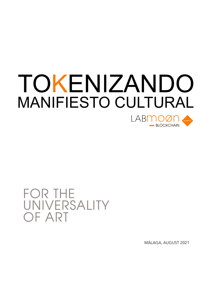## TOKENIZANDO MANIFIESTO CULTURAL I ABMOØN **BLOCKCHAIN**

FOR THE UNIVERSALITY OF ART

MÁLAGA, AUGUST 2021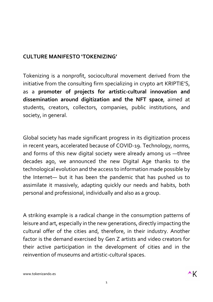## **CULTURE MANIFESTO 'TOKENIZING'**

Tokenizing is a nonprofit, sociocultural movement derived from the initiative from the consulting firm specializing in crypto art KRIPTIE'S, as a **promoter of projects for artistic-cultural innovation and dissemination around digitization and the NFT space**, aimed at students, creators, collectors, companies, public institutions, and society, in general.

Global society has made significant progress in its digitization process in recent years, accelerated because of COVID-19. Technology, norms, and forms of this new digital society were already among us —three decades ago, we announced the new Digital Age thanks to the technological evolution and the access to information made possible by the Internet— but it has been the pandemic that has pushed us to assimilate it massively, adapting quickly our needs and habits, both personal and professional, individually and also as a group.

A striking example is a radical change in the consumption patterns of leisure and art, especially in the new generations, directly impacting the cultural offer of the cities and, therefore, in their industry. Another factor is the demand exercised by Gen Z artists and video creators for their active participation in the development of cities and in the reinvention of museums and artistic-cultural spaces.

www.tokenizando.es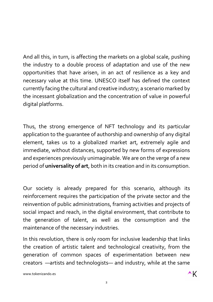And all this, in turn, is affecting the markets on a global scale, pushing the industry to a double process of adaptation and use of the new opportunities that have arisen, in an act of resilience as a key and necessary value at this time. UNESCO itself has defined the context currently facing the cultural and creative industry; a scenario marked by the incessant globalization and the concentration of value in powerful digital platforms.

Thus, the strong emergence of NFT technology and its particular application to the guarantee of authorship and ownership of any digital element, takes us to a globalized market art, extremely agile and immediate, without distances, supported by new forms of expressions and experiences previously unimaginable. We are on the verge of a new period of **universality of art**, both in its creation and in its consumption.

Our society is already prepared for this scenario, although its reinforcement requires the participation of the private sector and the reinvention of public administrations, framing activities and projects of social impact and reach, in the digital environment, that contribute to the generation of talent, as well as the consumption and the maintenance of the necessary industries.

In this revolution, there is only room for inclusive leadership that links the creation of artistic talent and technological creativity, from the generation of common spaces of experimentation between new creators —artists and technologists— and industry, while at the same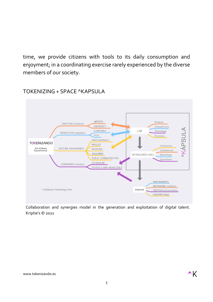time, we provide citizens with tools to its daily consumption and enjoyment; in a coordinating exercise rarely experienced by the diverse members of our society.



TOKENIZING + SPACE ^KAPSULA

Collaboration and synergies model in the generation and exploitation of digital talent. Kriptie's © 2021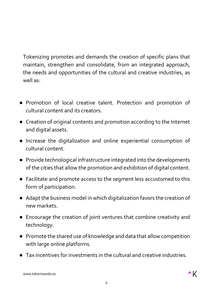Tokenizing promotes and demands the creation of specific plans that maintain, strengthen and consolidate, from an integrated approach, the needs and opportunities of the cultural and creative industries, as well as:

- Promotion of local creative talent. Protection and promotion of cultural content and its creators.
- Creation of original contents and promotion according to the Internet and digital assets.
- Increase the digitalization and online experiential consumption of cultural content.
- Provide technological infrastructure integrated into the developments of the cities that allow the promotion and exhibition of digital content.
- Facilitate and promote access to the segment less accustomed to this form of participation.
- Adapt the business model in which digitalization favors the creation of new markets.
- Encourage the creation of joint ventures that combine creativity and technology.
- Promote the shared use of knowledge and data that allow competition with large online platforms.
- Tax incentives for investments in the cultural and creative industries.

www.tokenizando.es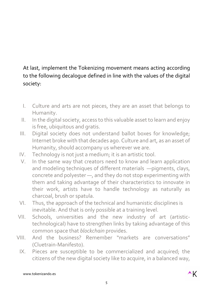## At last, implement the Tokenizing movement means acting according to the following decalogue defined in line with the values of the digital society:

- I. Culture and arts are not pieces, they are an asset that belongs to Humanity.
- II. In the digital society, access to this valuable asset to learn and enjoy is free, ubiquitous and gratis.
- III. Digital society does not understand ballot boxes for knowledge; Internet broke with that decades ago. Culture and art, as an asset of Humanity, should accompany us wherever we are.
- IV. Technology is not just a medium; it is an artistic tool.
- V. In the same way that creators need to know and learn application and modeling techniques of different materials —pigments, clays, concrete and polyester —, and they do not stop experimenting with them and taking advantage of their characteristics to innovate in their work, artists have to handle technology as naturally as charcoal, brush or spatula.
- VI. Thus, the approach of the technical and humanistic disciplines is inevitable. And that is only possible at a training level.
- VII. Schools, universities and the new industry of art (artistictechnological) have to strengthen links by taking advantage of this common space that *blockchain* provides.
- VIII. And the business? Remember "markets are conversations" (Cluetrain-Manifesto).
	- IX. Pieces are susceptible to be commercialized and acquired; the citizens of the new digital society like to acquire, in a balanced way,

www.tokenizando.es